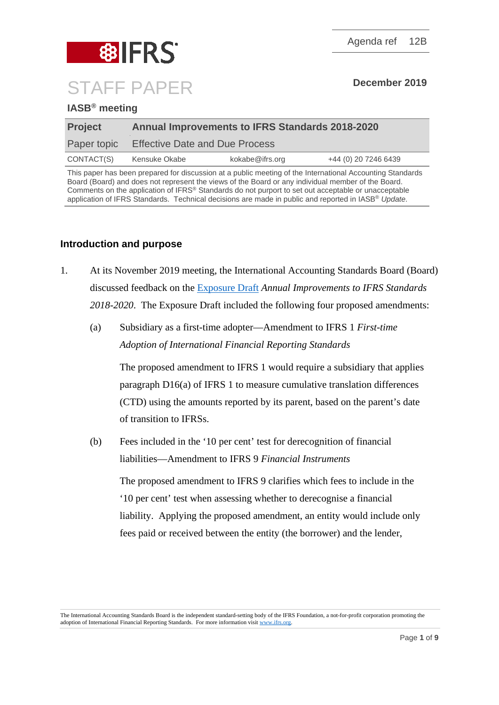

## **IASB® meeting**

| <b>Annual Improvements to IFRS Standards 2018-2020</b> |  |  |  |
|--------------------------------------------------------|--|--|--|
| <b>Effective Date and Due Process</b>                  |  |  |  |
| +44 (0) 20 7246 6439                                   |  |  |  |
|                                                        |  |  |  |

This paper has been prepared for discussion at a public meeting of the International Accounting Standards Board (Board) and does not represent the views of the Board or any individual member of the Board. Comments on the application of IFRS® Standards do not purport to set out acceptable or unacceptable application of IFRS Standards. Technical decisions are made in public and reported in IASB® *Update*.

### **Introduction and purpose**

- 1. At its November 2019 meeting, the International Accounting Standards Board (Board) discussed feedback on the [Exposure Draft](https://www.ifrs.org/-/media/project/annual-improvements-2018-2020/ed-annual-improvements-2018-2020.pdf) *Annual Improvements to IFRS Standards 2018-2020*. The Exposure Draft included the following four proposed amendments:
	- (a) Subsidiary as a first-time adopter—Amendment to IFRS 1 *First-time Adoption of International Financial Reporting Standards*

The proposed amendment to IFRS 1 would require a subsidiary that applies paragraph D16(a) of IFRS 1 to measure cumulative translation differences (CTD) using the amounts reported by its parent, based on the parent's date of transition to IFRSs.

(b) Fees included in the '10 per cent' test for derecognition of financial liabilities—Amendment to IFRS 9 *Financial Instruments*

The proposed amendment to IFRS 9 clarifies which fees to include in the '10 per cent' test when assessing whether to derecognise a financial liability. Applying the proposed amendment, an entity would include only fees paid or received between the entity (the borrower) and the lender,

The International Accounting Standards Board is the independent standard-setting body of the IFRS Foundation, a not-for-profit corporation promoting the adoption of International Financial Reporting Standards. For more information visi[t www.ifrs.org.](http://www.ifrs.org/)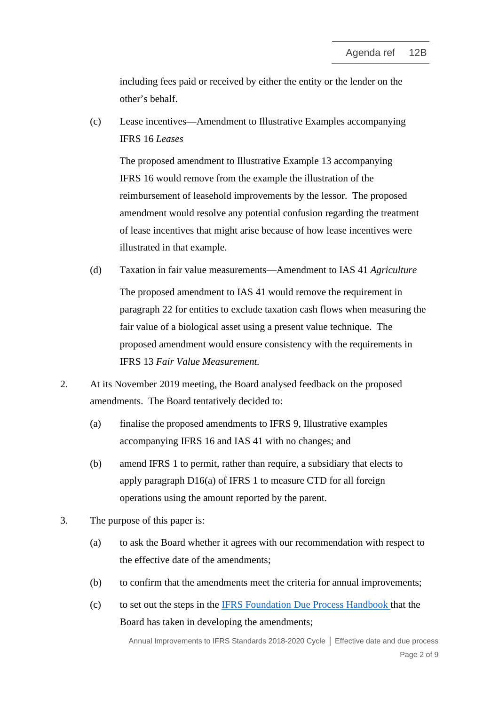including fees paid or received by either the entity or the lender on the other's behalf.

(c) Lease incentives—Amendment to Illustrative Examples accompanying IFRS 16 *Leases*

The proposed amendment to Illustrative Example 13 accompanying IFRS 16 would remove from the example the illustration of the reimbursement of leasehold improvements by the lessor. The proposed amendment would resolve any potential confusion regarding the treatment of lease incentives that might arise because of how lease incentives were illustrated in that example.

- (d) Taxation in fair value measurements—Amendment to IAS 41 *Agriculture* The proposed amendment to IAS 41 would remove the requirement in paragraph 22 for entities to exclude taxation cash flows when measuring the fair value of a biological asset using a present value technique. The proposed amendment would ensure consistency with the requirements in IFRS 13 *Fair Value Measurement.*
- 2. At its November 2019 meeting, the Board analysed feedback on the proposed amendments. The Board tentatively decided to:
	- (a) finalise the proposed amendments to IFRS 9, Illustrative examples accompanying IFRS 16 and IAS 41 with no changes; and
	- (b) amend IFRS 1 to permit, rather than require, a subsidiary that elects to apply paragraph D16(a) of IFRS 1 to measure CTD for all foreign operations using the amount reported by the parent.
- 3. The purpose of this paper is:
	- (a) to ask the Board whether it agrees with our recommendation with respect to the effective date of the amendments;
	- (b) to confirm that the amendments meet the criteria for annual improvements;
	- (c) to set out the steps in the [IFRS Foundation Due Process Handbook](https://www.ifrs.org/-/media/feature/about-us/legal-and-governance/constitution-docs/due-process-handbook.pdf) that the Board has taken in developing the amendments;

Annual Improvements to IFRS Standards 2018-2020 Cycle **│** Effective date and due process Page 2 of 9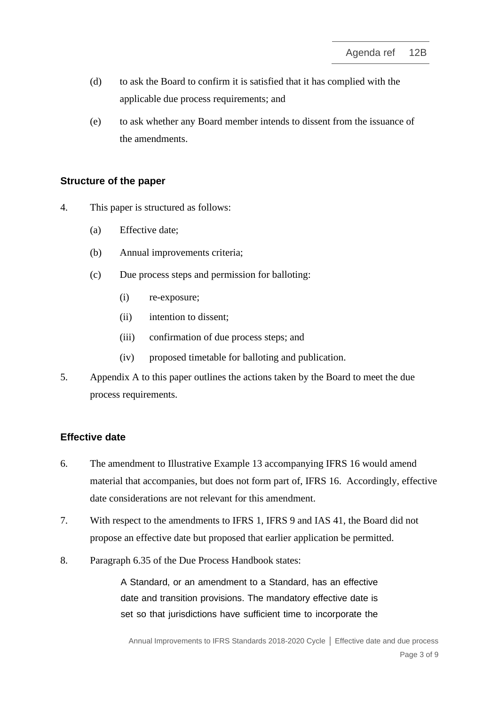- (d) to ask the Board to confirm it is satisfied that it has complied with the applicable due process requirements; and
- (e) to ask whether any Board member intends to dissent from the issuance of the amendments.

### **Structure of the paper**

- 4. This paper is structured as follows:
	- (a) Effective date;
	- (b) Annual improvements criteria;
	- (c) Due process steps and permission for balloting:
		- (i) re-exposure;
		- (ii) intention to dissent;
		- (iii) confirmation of due process steps; and
		- (iv) proposed timetable for balloting and publication.
- 5. Appendix A to this paper outlines the actions taken by the Board to meet the due process requirements.

### **Effective date**

- <span id="page-2-0"></span>6. The amendment to Illustrative Example 13 accompanying IFRS 16 would amend material that accompanies, but does not form part of, IFRS 16. Accordingly, effective date considerations are not relevant for this amendment.
- 7. With respect to the amendments to IFRS 1, IFRS 9 and IAS 41, the Board did not propose an effective date but proposed that earlier application be permitted.
- 8. Paragraph 6.35 of the Due Process Handbook states:

A Standard, or an amendment to a Standard, has an effective date and transition provisions. The mandatory effective date is set so that jurisdictions have sufficient time to incorporate the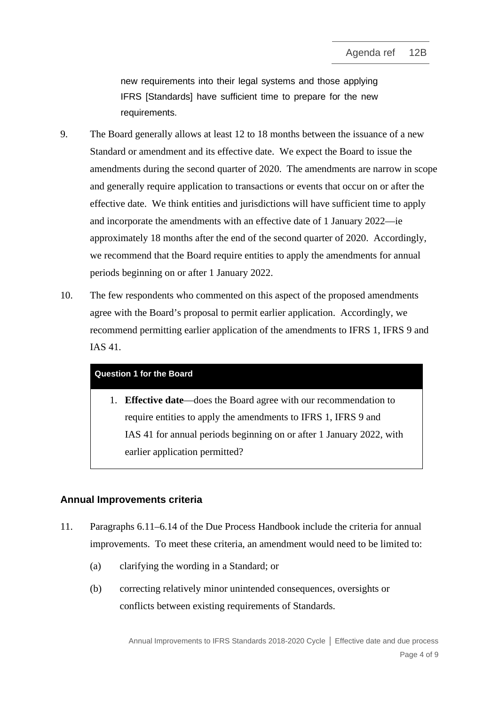new requirements into their legal systems and those applying IFRS [Standards] have sufficient time to prepare for the new requirements.

- 9. The Board generally allows at least 12 to 18 months between the issuance of a new Standard or amendment and its effective date. We expect the Board to issue the amendments during the second quarter of 2020. The amendments are narrow in scope and generally require application to transactions or events that occur on or after the effective date. We think entities and jurisdictions will have sufficient time to apply and incorporate the amendments with an effective date of 1 January 2022—ie approximately 18 months after the end of the second quarter of 2020. Accordingly, we recommend that the Board require entities to apply the amendments for annual periods beginning on or after 1 January 2022.
- <span id="page-3-1"></span>10. The few respondents who commented on this aspect of the proposed amendments agree with the Board's proposal to permit earlier application. Accordingly, we recommend permitting earlier application of the amendments to IFRS 1, IFRS 9 and IAS 41.

#### **Question 1 for the Board**

1. **Effective date**—does the Board agree with our recommendation to require entities to apply the amendments to IFRS 1, IFRS 9 and IAS 41 for annual periods beginning on or after 1 January 2022, with earlier application permitted?

## **Annual Improvements criteria**

- <span id="page-3-0"></span>11. Paragraphs 6.11–6.14 of the Due Process Handbook include the criteria for annual improvements. To meet these criteria, an amendment would need to be limited to:
	- (a) clarifying the wording in a Standard; or
	- (b) correcting relatively minor unintended consequences, oversights or conflicts between existing requirements of Standards.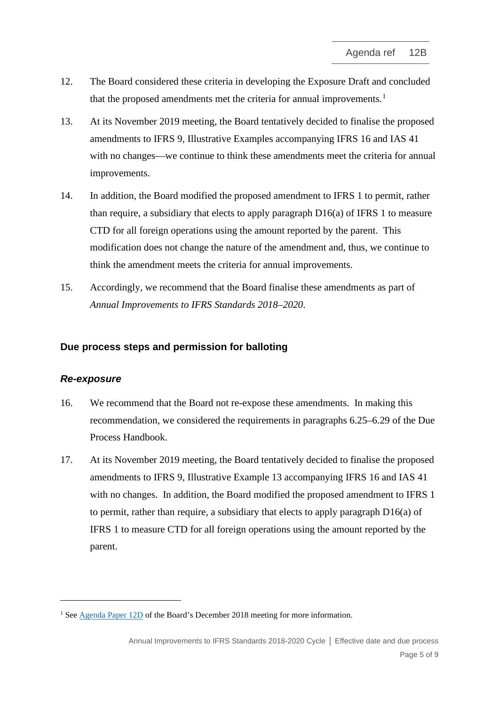- 12. The Board considered these criteria in developing the Exposure Draft and concluded that the proposed amendments met the criteria for annual improvements.<sup>[1](#page-4-0)</sup>
- 13. At its November 2019 meeting, the Board tentatively decided to finalise the proposed amendments to IFRS 9, Illustrative Examples accompanying IFRS 16 and IAS 41 with no changes—we continue to think these amendments meet the criteria for annual improvements.
- 14. In addition, the Board modified the proposed amendment to IFRS 1 to permit, rather than require, a subsidiary that elects to apply paragraph D16(a) of IFRS 1 to measure CTD for all foreign operations using the amount reported by the parent. This modification does not change the nature of the amendment and, thus, we continue to think the amendment meets the criteria for annual improvements.
- <span id="page-4-1"></span>15. Accordingly, we recommend that the Board finalise these amendments as part of *Annual Improvements to IFRS Standards 2018–2020*.

#### **Due process steps and permission for balloting**

#### *Re-exposure*

- <span id="page-4-2"></span>16. We recommend that the Board not re-expose these amendments. In making this recommendation, we considered the requirements in paragraphs 6.25–6.29 of the Due Process Handbook.
- 17. At its November 2019 meeting, the Board tentatively decided to finalise the proposed amendments to IFRS 9, Illustrative Example 13 accompanying IFRS 16 and IAS 41 with no changes. In addition, the Board modified the proposed amendment to IFRS 1 to permit, rather than require, a subsidiary that elects to apply paragraph D16(a) of IFRS 1 to measure CTD for all foreign operations using the amount reported by the parent.

<span id="page-4-0"></span><sup>&</sup>lt;sup>1</sup> See [Agenda Paper 12D](https://cdn.ifrs.org/-/media/feature/meetings/2018/december/iasb/ap12d-aip.pdf) of the Board's December 2018 meeting for more information.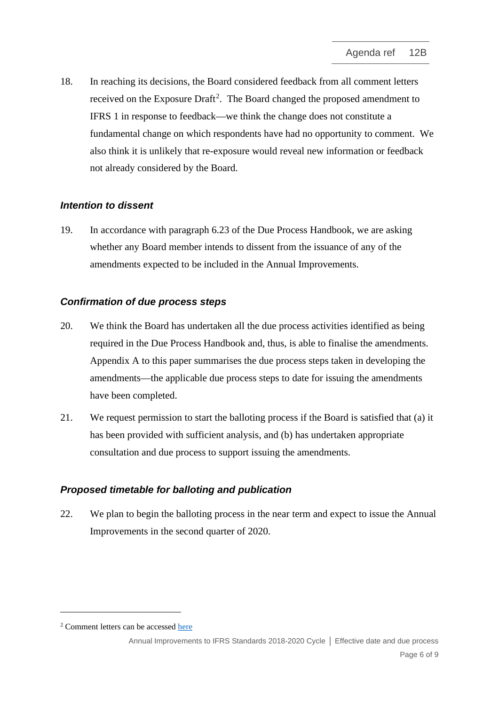<span id="page-5-1"></span>18. In reaching its decisions, the Board considered feedback from all comment letters received on the Exposure Draft<sup>[2](#page-5-0)</sup>. The Board changed the proposed amendment to IFRS 1 in response to feedback—we think the change does not constitute a fundamental change on which respondents have had no opportunity to comment. We also think it is unlikely that re-exposure would reveal new information or feedback not already considered by the Board.

# *Intention to dissent*

19. In accordance with paragraph 6.23 of the Due Process Handbook, we are asking whether any Board member intends to dissent from the issuance of any of the amendments expected to be included in the Annual Improvements.

## *Confirmation of due process steps*

- 20. We think the Board has undertaken all the due process activities identified as being required in the Due Process Handbook and, thus, is able to finalise the amendments. Appendix A to this paper summarises the due process steps taken in developing the amendments—the applicable due process steps to date for issuing the amendments have been completed.
- 21. We request permission to start the balloting process if the Board is satisfied that (a) it has been provided with sufficient analysis, and (b) has undertaken appropriate consultation and due process to support issuing the amendments.

# *Proposed timetable for balloting and publication*

22. We plan to begin the balloting process in the near term and expect to issue the Annual Improvements in the second quarter of 2020.

<span id="page-5-0"></span><sup>2</sup> Comment letters can be accessed [here](https://www.ifrs.org/projects/work-plan/subsidiary-as-a-first-time-adopter/comment-letters-projects/ed-annual-improvements/#comment-letters)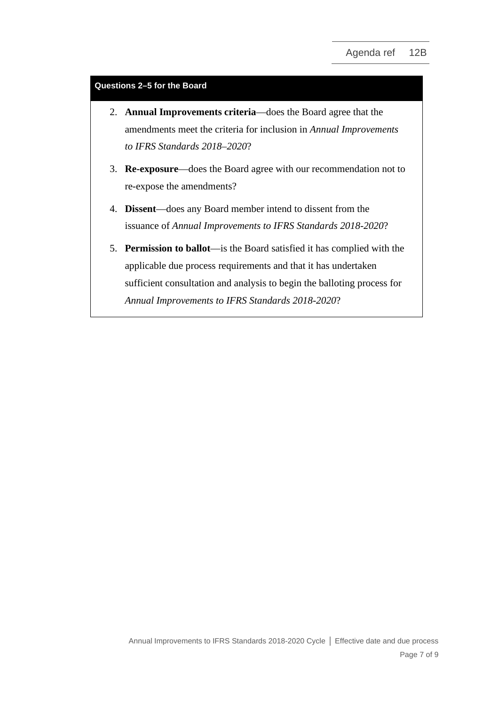#### **Questions 2–5 for the Board**

- 2. **Annual Improvements criteria**—does the Board agree that the amendments meet the criteria for inclusion in *Annual Improvements to IFRS Standards 2018–2020*?
- 3. **Re-exposure**—does the Board agree with our recommendation not to re-expose the amendments?
- 4. **Dissent**—does any Board member intend to dissent from the issuance of *Annual Improvements to IFRS Standards 2018-2020*?
- 5. **Permission to ballot**—is the Board satisfied it has complied with the applicable due process requirements and that it has undertaken sufficient consultation and analysis to begin the balloting process for *Annual Improvements to IFRS Standards 2018-2020*?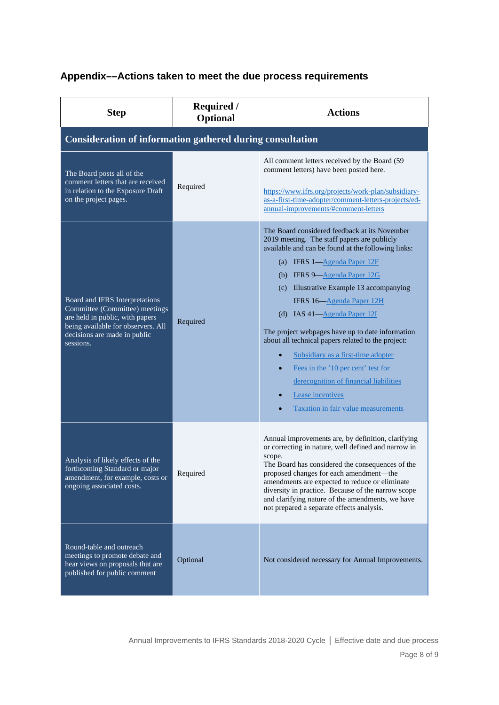# **Appendix––Actions taken to meet the due process requirements**

| <b>Step</b>                                                                                                                                                                            | <b>Required</b> /<br><b>Optional</b> | <b>Actions</b>                                                                                                                                                                                                                                                                                                                                                                                                                                                                                                                                                                                                                                                 |  |
|----------------------------------------------------------------------------------------------------------------------------------------------------------------------------------------|--------------------------------------|----------------------------------------------------------------------------------------------------------------------------------------------------------------------------------------------------------------------------------------------------------------------------------------------------------------------------------------------------------------------------------------------------------------------------------------------------------------------------------------------------------------------------------------------------------------------------------------------------------------------------------------------------------------|--|
| <b>Consideration of information gathered during consultation</b>                                                                                                                       |                                      |                                                                                                                                                                                                                                                                                                                                                                                                                                                                                                                                                                                                                                                                |  |
| The Board posts all of the<br>comment letters that are received<br>in relation to the Exposure Draft<br>on the project pages.                                                          | Required                             | All comment letters received by the Board (59)<br>comment letters) have been posted here.<br>https://www.ifrs.org/projects/work-plan/subsidiary-<br>as-a-first-time-adopter/comment-letters-projects/ed-<br>annual-improvements/#comment-letters                                                                                                                                                                                                                                                                                                                                                                                                               |  |
| Board and IFRS Interpretations<br>Committee (Committee) meetings<br>are held in public, with papers<br>being available for observers. All<br>decisions are made in public<br>sessions. | Required                             | The Board considered feedback at its November<br>2019 meeting. The staff papers are publicly<br>available and can be found at the following links:<br>(a) IFRS $1-\text{Agenda Paper 12F}$<br>(b) IFRS $9 - \text{Agenda Paper } 12G$<br>(c) Illustrative Example 13 accompanying<br>IFRS 16-Agenda Paper 12H<br>(d) IAS $41 - \underline{Agenda Paper 12I}$<br>The project webpages have up to date information<br>about all technical papers related to the project:<br>Subsidiary as a first-time adopter<br>Fees in the '10 per cent' test for<br>derecognition of financial liabilities<br>Lease incentives<br><b>Taxation in fair value measurements</b> |  |
| Analysis of likely effects of the<br>forthcoming Standard or major<br>amendment, for example, costs or<br>ongoing associated costs.                                                    | Required                             | Annual improvements are, by definition, clarifying<br>or correcting in nature, well defined and narrow in<br>scope.<br>The Board has considered the consequences of the<br>proposed changes for each amendment—the<br>amendments are expected to reduce or eliminate<br>diversity in practice. Because of the narrow scope<br>and clarifying nature of the amendments, we have<br>not prepared a separate effects analysis.                                                                                                                                                                                                                                    |  |
| Round-table and outreach<br>meetings to promote debate and<br>hear views on proposals that are<br>published for public comment                                                         | Optional                             | Not considered necessary for Annual Improvements.                                                                                                                                                                                                                                                                                                                                                                                                                                                                                                                                                                                                              |  |

Annual Improvements to IFRS Standards 2018-2020 Cycle **│** Effective date and due process